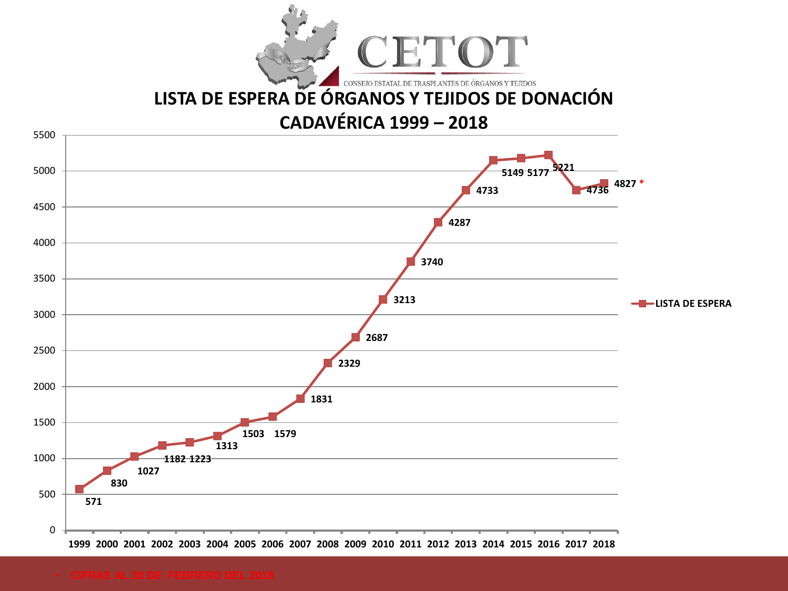

# **[LISTA DE ESPERA DE ÓRGANOS Y TEJIDOS DE DONACIÓN](GRAFICOS.xls)**

## **CADAVÉRICA 1999 – 2018**

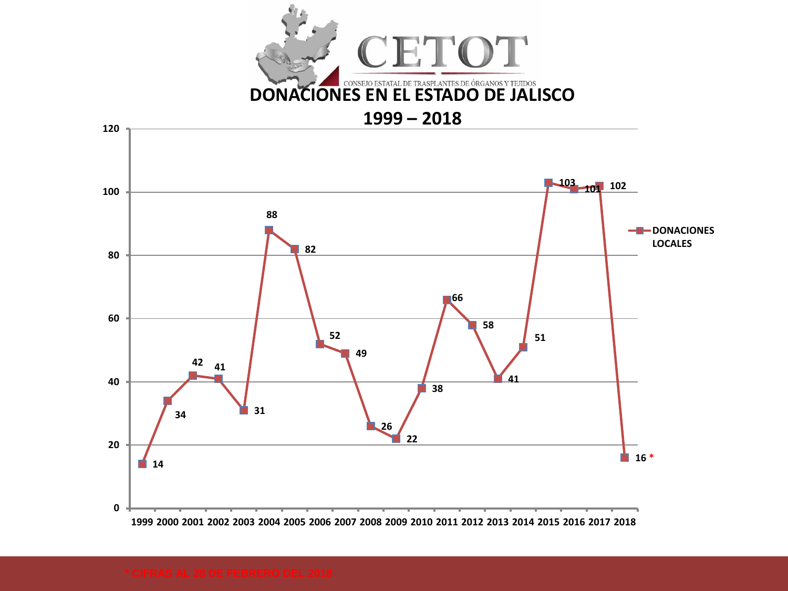

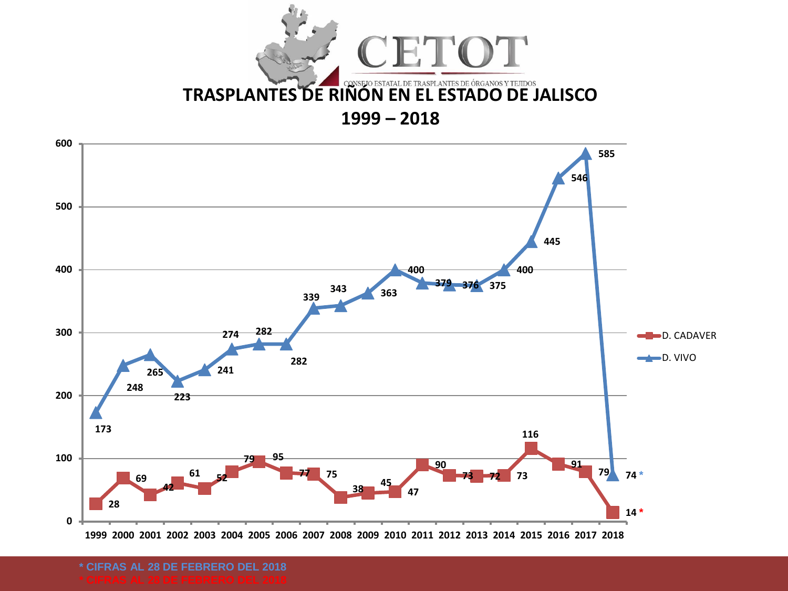



**\* CIFRAS AL 28 DE FEBRERO DEL 2018**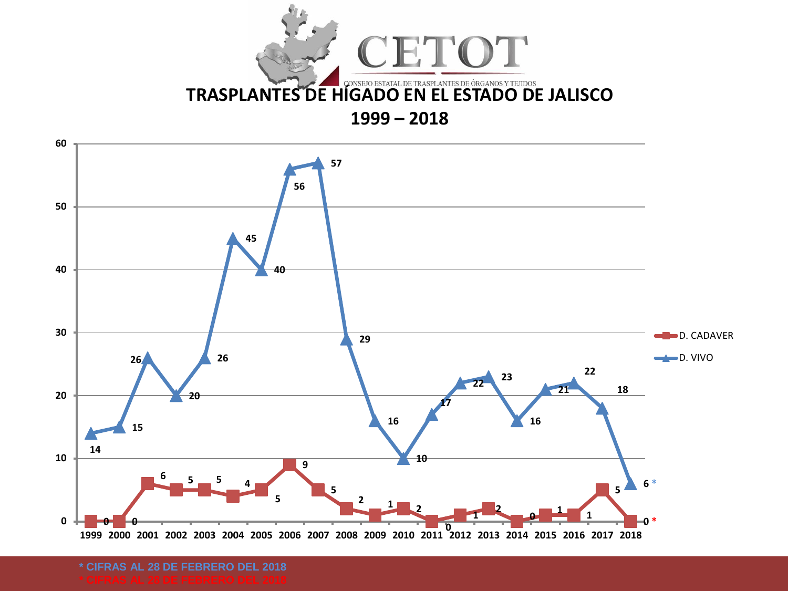



**\* CIFRAS AL 28 DE FEBRERO DEL 2018**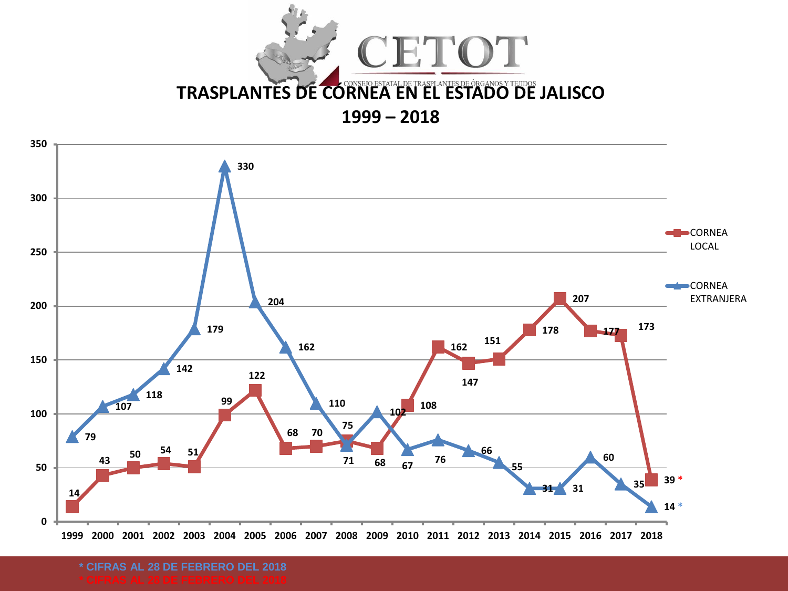



**\* CIFRAS AL 28 DE FEBRERO DEL 2018**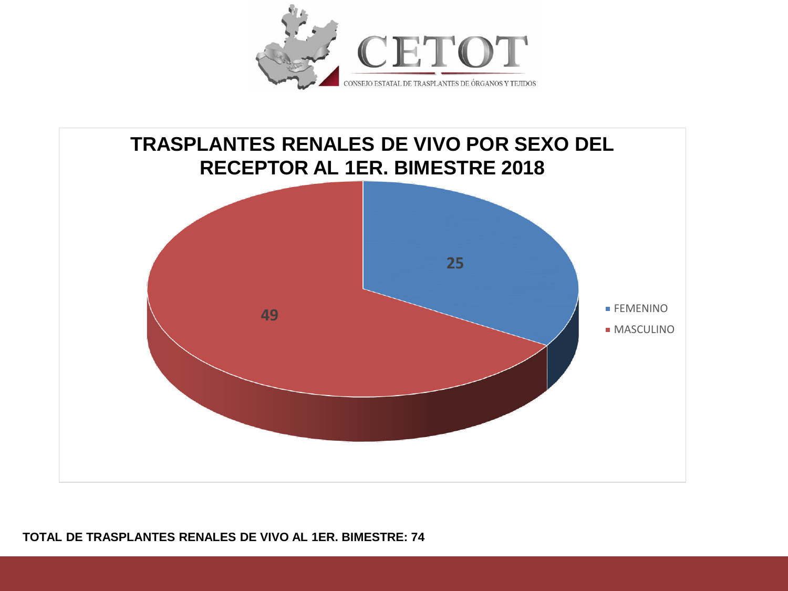



#### **TOTAL DE TRASPLANTES RENALES DE VIVO AL 1ER. BIMESTRE: 74**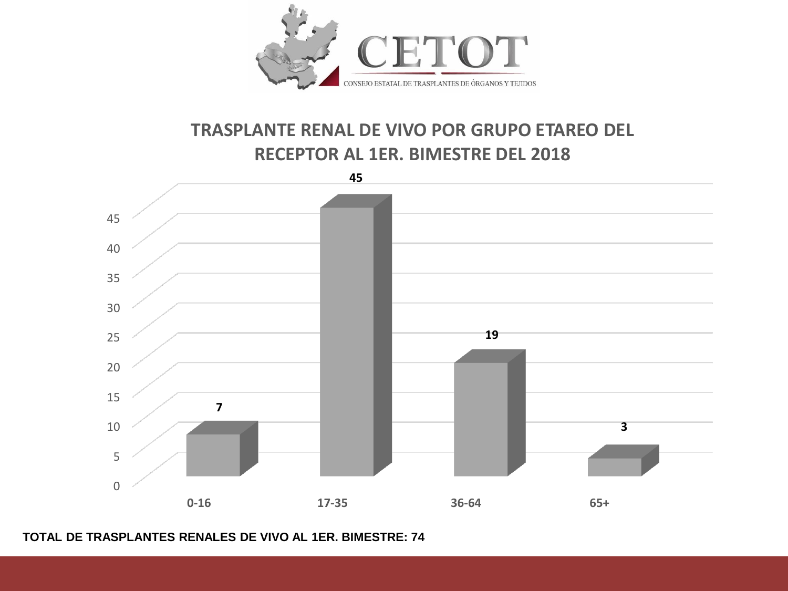

### **TRASPLANTE RENAL DE VIVO POR GRUPO ETAREO DEL RECEPTOR AL 1ER. BIMESTRE DEL 2018**



#### **TOTAL DE TRASPLANTES RENALES DE VIVO AL 1ER. BIMESTRE: 74**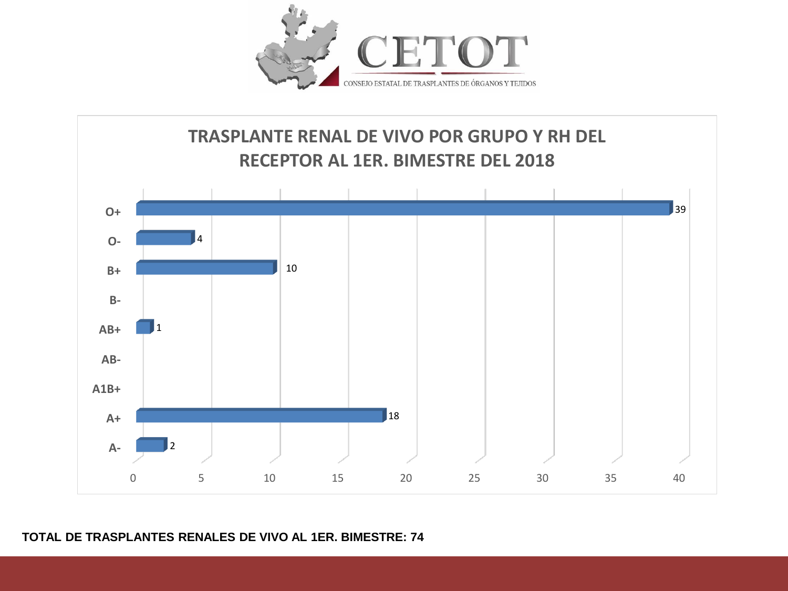



#### **TOTAL DE TRASPLANTES RENALES DE VIVO AL 1ER. BIMESTRE: 74**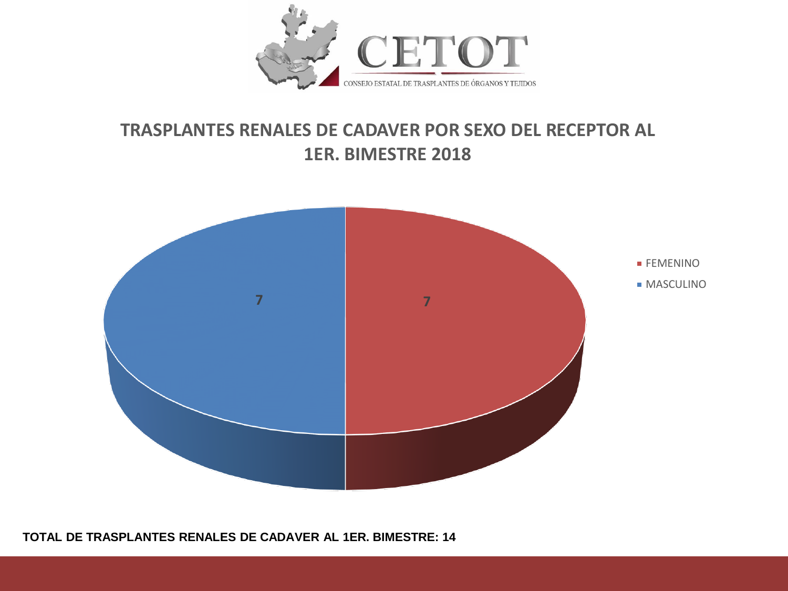

## **TRASPLANTES RENALES DE CADAVER POR SEXO DEL RECEPTOR AL 1ER. BIMESTRE 2018**



**TOTAL DE TRASPLANTES RENALES DE CADAVER AL 1ER. BIMESTRE: 14**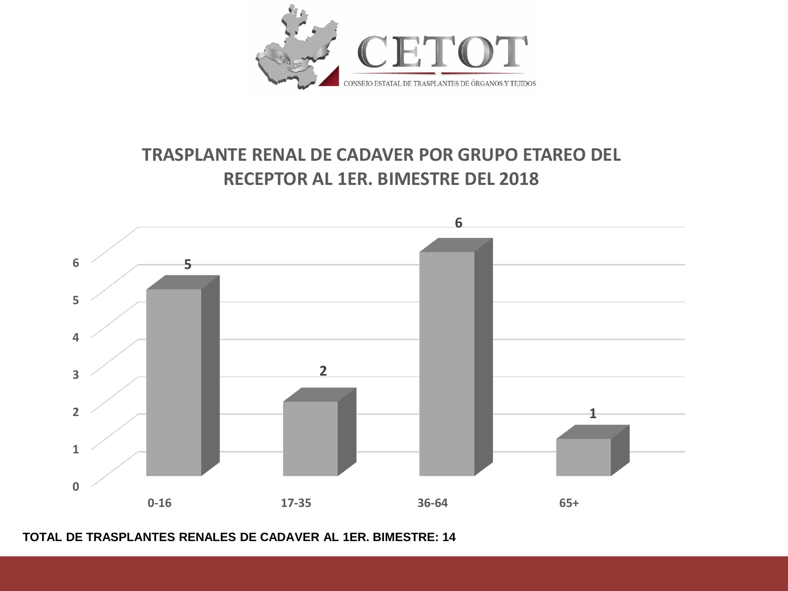

# **TRASPLANTE RENAL DE CADAVER POR GRUPO ETAREO DEL RECEPTOR AL 1ER. BIMESTRE DEL 2018**



**TOTAL DE TRASPLANTES RENALES DE CADAVER AL 1ER. BIMESTRE: 14**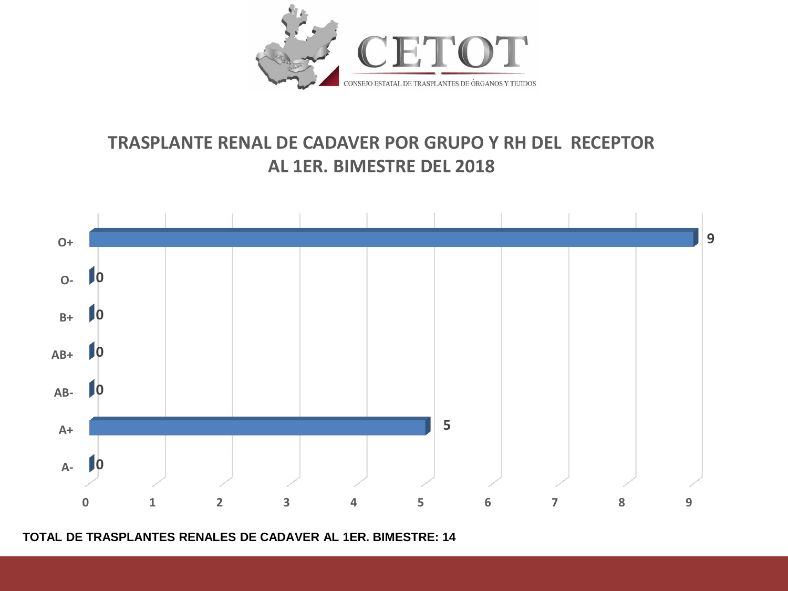

# **TRASPLANTE RENAL DE CADAVER POR GRUPO Y RH DEL RECEPTOR AL 1ER. BIMESTRE DEL 2018**



**TOTAL DE TRASPLANTES RENALES DE CADAVER AL 1ER. BIMESTRE: 14**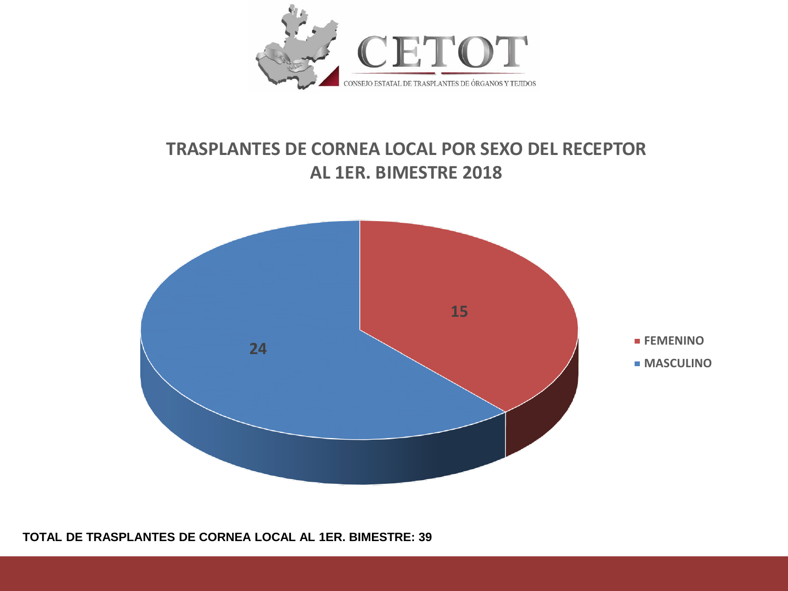

## **TRASPLANTES DE CORNEA LOCAL POR SEXO DEL RECEPTOR AL 1ER. BIMESTRE 2018**



**TOTAL DE TRASPLANTES DE CORNEA LOCAL AL 1ER. BIMESTRE: 39**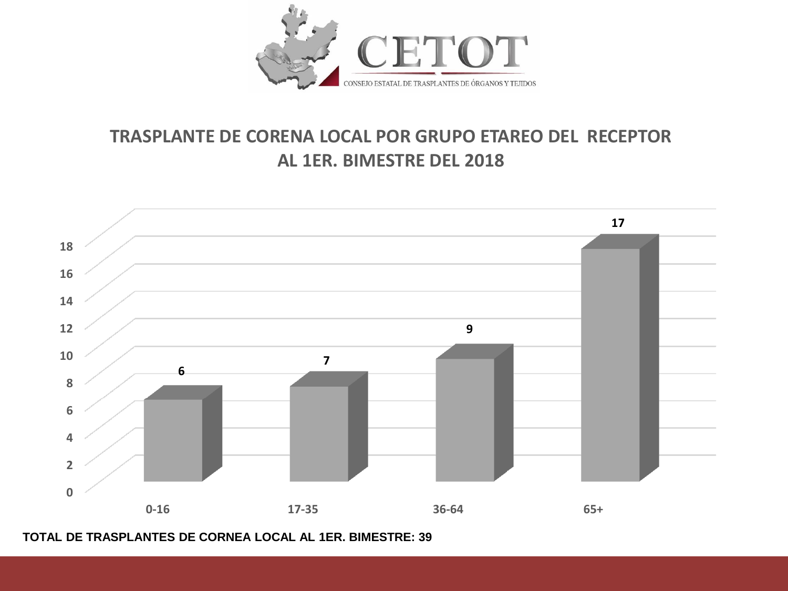

## **TRASPLANTE DE CORENA LOCAL POR GRUPO ETAREO DEL RECEPTOR AL 1ER. BIMESTRE DEL 2018**



**TOTAL DE TRASPLANTES DE CORNEA LOCAL AL 1ER. BIMESTRE: 39**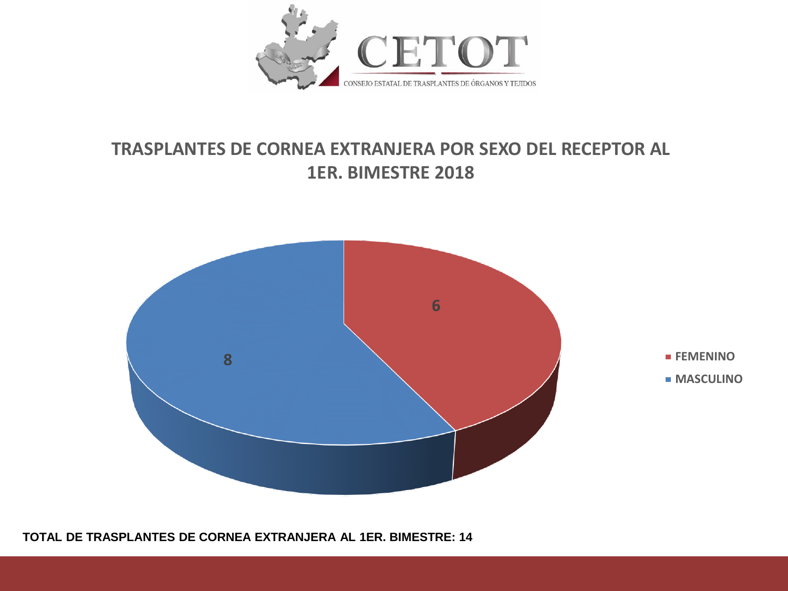

## **TRASPLANTES DE CORNEA EXTRANJERA POR SEXO DEL RECEPTOR AL 1ER. BIMESTRE 2018**



**TOTAL DE TRASPLANTES DE CORNEA EXTRANJERA AL 1ER. BIMESTRE: 14**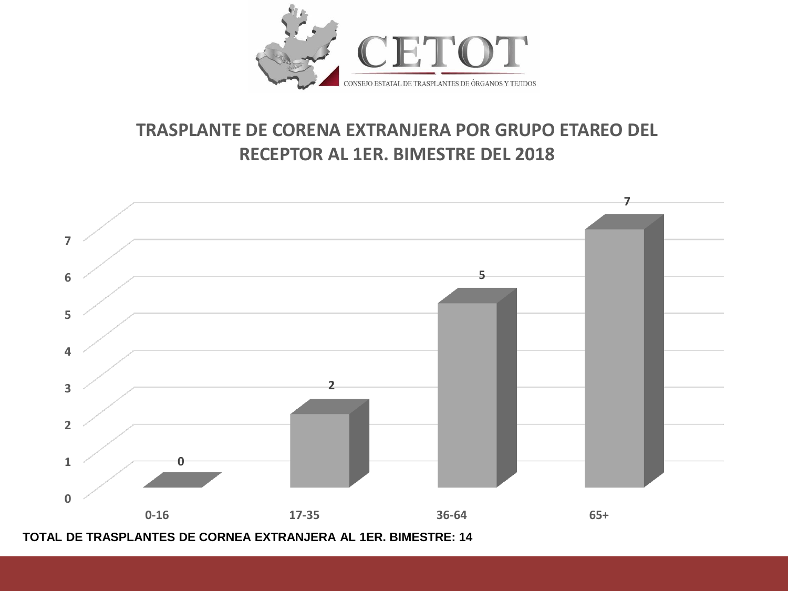

# **TRASPLANTE DE CORENA EXTRANJERA POR GRUPO ETAREO DEL RECEPTOR AL 1ER. BIMESTRE DEL 2018**



**TOTAL DE TRASPLANTES DE CORNEA EXTRANJERA AL 1ER. BIMESTRE: 14**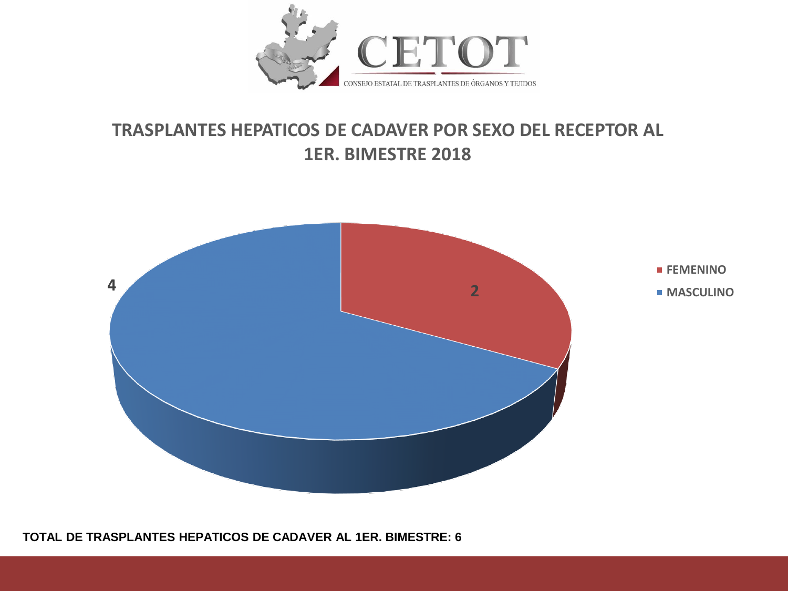

## **TRASPLANTES HEPATICOS DE CADAVER POR SEXO DEL RECEPTOR AL 1ER. BIMESTRE 2018**



**TOTAL DE TRASPLANTES HEPATICOS DE CADAVER AL 1ER. BIMESTRE: 6**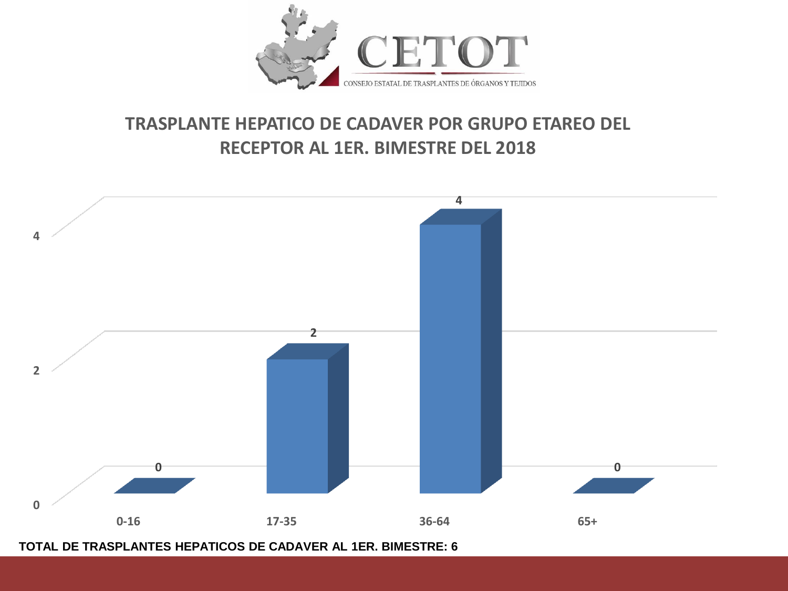

# **TRASPLANTE HEPATICO DE CADAVER POR GRUPO ETAREO DEL RECEPTOR AL 1ER. BIMESTRE DEL 2018**



**TOTAL DE TRASPLANTES HEPATICOS DE CADAVER AL 1ER. BIMESTRE: 6**